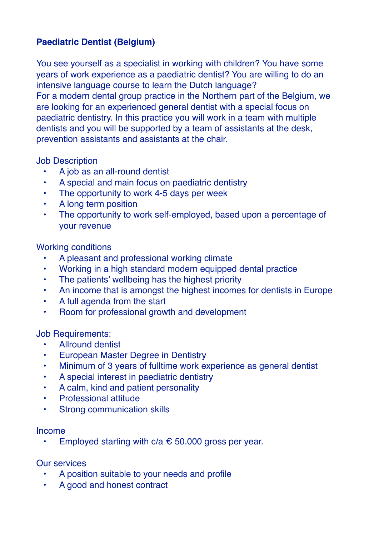## **Paediatric Dentist (Belgium)**

You see yourself as a specialist in working with children? You have some years of work experience as a paediatric dentist? You are willing to do an intensive language course to learn the Dutch language? For a modern dental group practice in the Northern part of the Belgium, we are looking for an experienced general dentist with a special focus on paediatric dentistry. In this practice you will work in a team with multiple dentists and you will be supported by a team of assistants at the desk, prevention assistants and assistants at the chair.

Job Description

- A job as an all-round dentist
- A special and main focus on paediatric dentistry
- The opportunity to work 4-5 days per week
- A long term position
- The opportunity to work self-employed, based upon a percentage of your revenue

Working conditions

- A pleasant and professional working climate
- Working in a high standard modern equipped dental practice
- The patients' wellbeing has the highest priority
- An income that is amongst the highest incomes for dentists in Europe
- A full agenda from the start
- Room for professional growth and development

Job Requirements:

- Allround dentist
- European Master Degree in Dentistry
- Minimum of 3 years of fulltime work experience as general dentist
- A special interest in paediatric dentistry
- A calm, kind and patient personality
- Professional attitude
- Strong communication skills

Income

Employed starting with  $c/a \text{ } \in 50.000$  gross per year.

Our services

- A position suitable to your needs and profile
- A good and honest contract